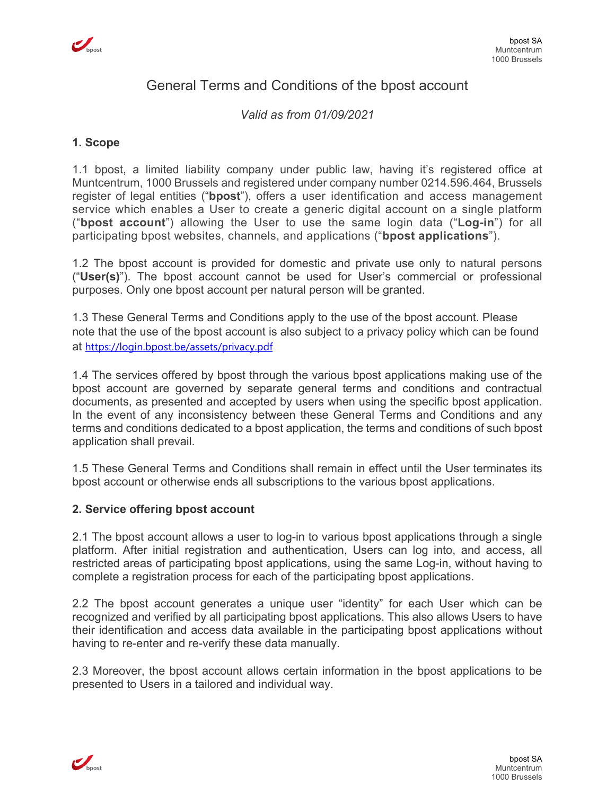

# General Terms and Conditions of the bpost account

*Valid as from 01/09/2021*

#### **1. Scope**

1.1 bpost, a limited liability company under public law, having it's registered office at Muntcentrum, 1000 Brussels and registered under company number 0214.596.464, Brussels register of legal entities ("**bpost**"), offers a user identification and access management service which enables a User to create a generic digital account on a single platform ("**bpost account**") allowing the User to use the same login data ("**Log-in**") for all participating bpost websites, channels, and applications ("**bpost applications**").

1.2 The bpost account is provided for domestic and private use only to natural persons ("**User(s)**"). The bpost account cannot be used for User's commercial or professional purposes. Only one bpost account per natural person will be granted.

1.3 These General Terms and Conditions apply to the use of the bpost account. Please note that the use of the bpost account is also subject to a privacy policy which can be found at https://login.bpost.be/assets/privacy.pdf

1.4 The services offered by bpost through the various bpost applications making use of the bpost account are governed by separate general terms and conditions and contractual documents, as presented and accepted by users when using the specific bpost application. In the event of any inconsistency between these General Terms and Conditions and any terms and conditions dedicated to a bpost application, the terms and conditions of such bpost application shall prevail.

1.5 These General Terms and Conditions shall remain in effect until the User terminates its bpost account or otherwise ends all subscriptions to the various bpost applications.

#### **2. Service offering bpost account**

2.1 The bpost account allows a user to log-in to various bpost applications through a single platform. After initial registration and authentication, Users can log into, and access, all restricted areas of participating bpost applications, using the same Log-in, without having to complete a registration process for each of the participating bpost applications.

2.2 The bpost account generates a unique user "identity" for each User which can be recognized and verified by all participating bpost applications. This also allows Users to have their identification and access data available in the participating bpost applications without having to re-enter and re-verify these data manually.

2.3 Moreover, the bpost account allows certain information in the bpost applications to be presented to Users in a tailored and individual way.

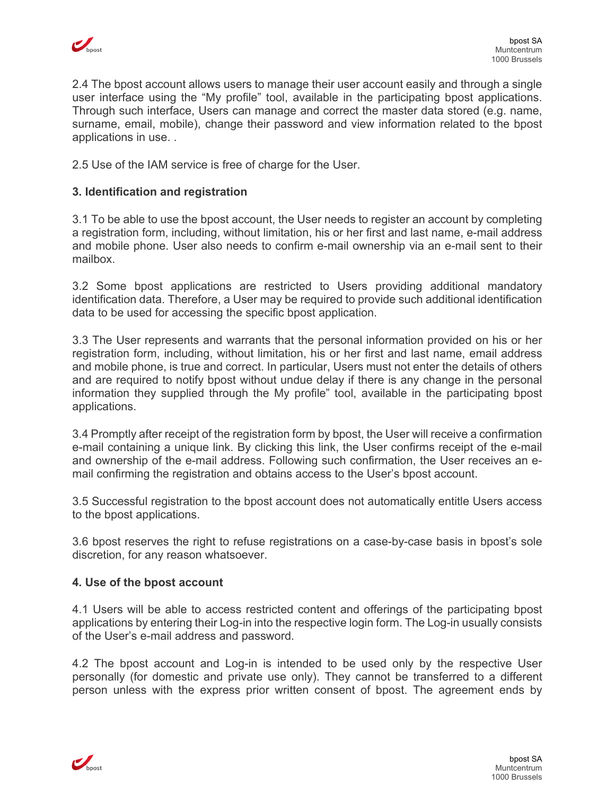

2.4 The bpost account allows users to manage their user account easily and through a single user interface using the "My profile" tool, available in the participating bpost applications. Through such interface, Users can manage and correct the master data stored (e.g. name, surname, email, mobile), change their password and view information related to the bpost applications in use. .

2.5 Use of the IAM service is free of charge for the User.

## **3. Identification and registration**

3.1 To be able to use the bpost account, the User needs to register an account by completing a registration form, including, without limitation, his or her first and last name, e-mail address and mobile phone. User also needs to confirm e-mail ownership via an e-mail sent to their mailbox.

3.2 Some bpost applications are restricted to Users providing additional mandatory identification data. Therefore, a User may be required to provide such additional identification data to be used for accessing the specific bpost application.

3.3 The User represents and warrants that the personal information provided on his or her registration form, including, without limitation, his or her first and last name, email address and mobile phone, is true and correct. In particular, Users must not enter the details of others and are required to notify bpost without undue delay if there is any change in the personal information they supplied through the My profile" tool, available in the participating bpost applications.

3.4 Promptly after receipt of the registration form by bpost, the User will receive a confirmation e-mail containing a unique link. By clicking this link, the User confirms receipt of the e-mail and ownership of the e-mail address. Following such confirmation, the User receives an email confirming the registration and obtains access to the User's bpost account.

3.5 Successful registration to the bpost account does not automatically entitle Users access to the bpost applications.

3.6 bpost reserves the right to refuse registrations on a case-by-case basis in bpost's sole discretion, for any reason whatsoever.

#### **4. Use of the bpost account**

4.1 Users will be able to access restricted content and offerings of the participating bpost applications by entering their Log-in into the respective login form. The Log-in usually consists of the User's e-mail address and password.

4.2 The bpost account and Log-in is intended to be used only by the respective User personally (for domestic and private use only). They cannot be transferred to a different person unless with the express prior written consent of bpost. The agreement ends by

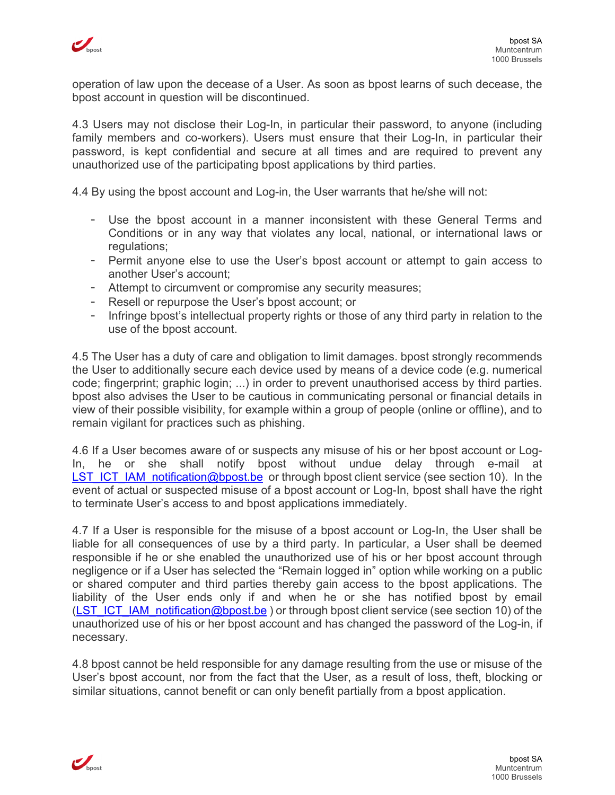

operation of law upon the decease of a User. As soon as bpost learns of such decease, the bpost account in question will be discontinued.

4.3 Users may not disclose their Log-In, in particular their password, to anyone (including family members and co-workers). Users must ensure that their Log-In, in particular their password, is kept confidential and secure at all times and are required to prevent any unauthorized use of the participating bpost applications by third parties.

4.4 By using the bpost account and Log-in, the User warrants that he/she will not:

- Use the bpost account in a manner inconsistent with these General Terms and Conditions or in any way that violates any local, national, or international laws or regulations;
- Permit anyone else to use the User's bpost account or attempt to gain access to another User's account;
- Attempt to circumvent or compromise any security measures;
- Resell or repurpose the User's bpost account; or
- Infringe bpost's intellectual property rights or those of any third party in relation to the use of the bpost account.

4.5 The User has a duty of care and obligation to limit damages. bpost strongly recommends the User to additionally secure each device used by means of a device code (e.g. numerical code; fingerprint; graphic login; ...) in order to prevent unauthorised access by third parties. bpost also advises the User to be cautious in communicating personal or financial details in view of their possible visibility, for example within a group of people (online or offline), and to remain vigilant for practices such as phishing.

4.6 If a User becomes aware of or suspects any misuse of his or her bpost account or Log-In, he or she shall notify bpost without undue delay through e-mail at LST ICT IAM notification@bpost.be or through bpost client service (see section 10). In the event of actual or suspected misuse of a bpost account or Log-In, bpost shall have the right to terminate User's access to and bpost applications immediately.

4.7 If a User is responsible for the misuse of a bpost account or Log-In, the User shall be liable for all consequences of use by a third party. In particular, a User shall be deemed responsible if he or she enabled the unauthorized use of his or her bpost account through negligence or if a User has selected the "Remain logged in" option while working on a public or shared computer and third parties thereby gain access to the bpost applications. The liability of the User ends only if and when he or she has notified bpost by email (LST ICT IAM notification@bpost.be) or through bpost client service (see section 10) of the unauthorized use of his or her bpost account and has changed the password of the Log-in, if necessary.

4.8 bpost cannot be held responsible for any damage resulting from the use or misuse of the User's bpost account, nor from the fact that the User, as a result of loss, theft, blocking or similar situations, cannot benefit or can only benefit partially from a bpost application.

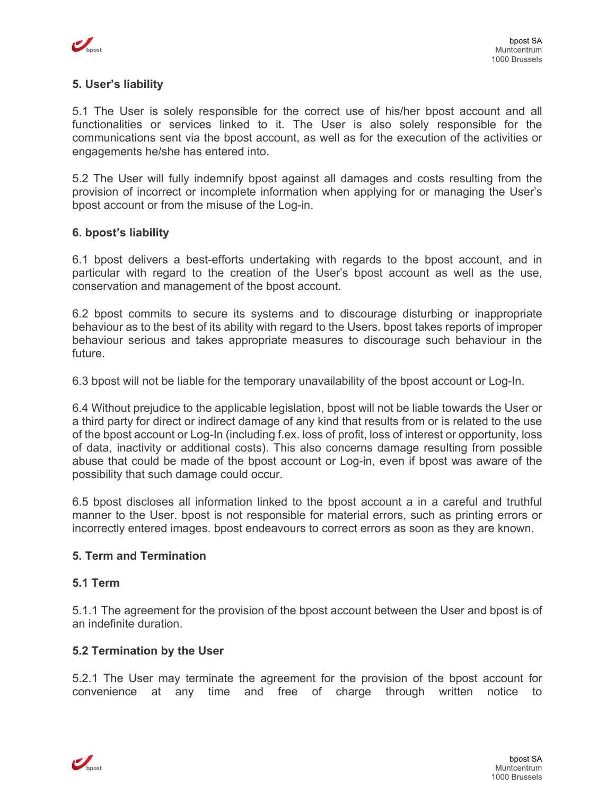

## **5. User's liability**

5.1 The User is solely responsible for the correct use of his/her bpost account and all functionalities or services linked to it. The User is also solely responsible for the communications sent via the bpost account, as well as for the execution of the activities or engagements he/she has entered into.

5.2 The User will fully indemnify bpost against all damages and costs resulting from the provision of incorrect or incomplete information when applying for or managing the User's bpost account or from the misuse of the Log-in.

#### **6. bpost's liability**

6.1 bpost delivers a best-efforts undertaking with regards to the bpost account, and in particular with regard to the creation of the User's bpost account as well as the use, conservation and management of the bpost account.

6.2 bpost commits to secure its systems and to discourage disturbing or inappropriate behaviour as to the best of its ability with regard to the Users. bpost takes reports of improper behaviour serious and takes appropriate measures to discourage such behaviour in the future.

6.3 bpost will not be liable for the temporary unavailability of the bpost account or Log-In.

6.4 Without prejudice to the applicable legislation, bpost will not be liable towards the User or a third party for direct or indirect damage of any kind that results from or is related to the use of the bpost account or Log-In (including f.ex. loss of profit, loss of interest or opportunity, loss of data, inactivity or additional costs). This also concerns damage resulting from possible abuse that could be made of the bpost account or Log-in, even if bpost was aware of the possibility that such damage could occur.

6.5 bpost discloses all information linked to the bpost account a in a careful and truthful manner to the User. bpost is not responsible for material errors, such as printing errors or incorrectly entered images. bpost endeavours to correct errors as soon as they are known.

#### **5. Term and Termination**

#### **5.1 Term**

5.1.1 The agreement for the provision of the bpost account between the User and bpost is of an indefinite duration.

#### **5.2 Termination by the User**

5.2.1 The User may terminate the agreement for the provision of the bpost account for convenience at any time and free of charge through written notice to

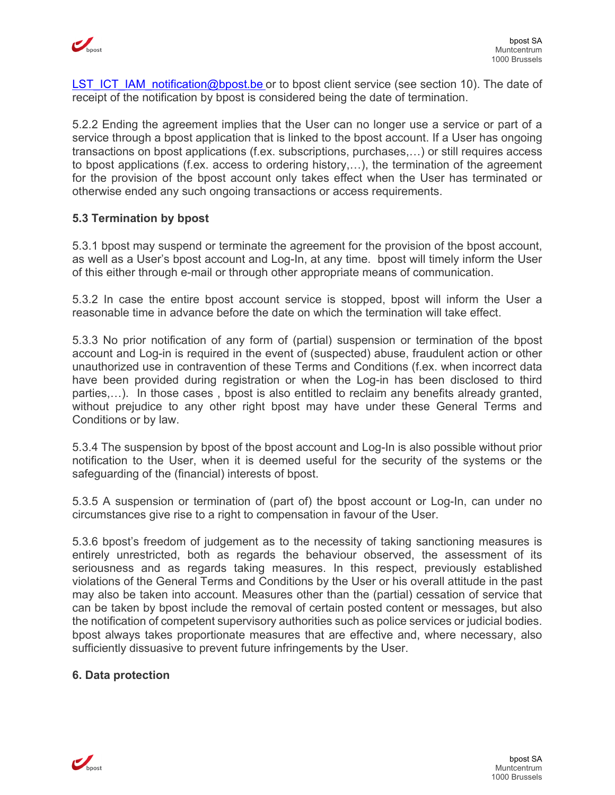

LST ICT IAM notification@bpost.be or to bpost client service (see section 10). The date of receipt of the notification by bpost is considered being the date of termination.

5.2.2 Ending the agreement implies that the User can no longer use a service or part of a service through a bpost application that is linked to the bpost account. If a User has ongoing transactions on bpost applications (f.ex. subscriptions, purchases,…) or still requires access to bpost applications (f.ex. access to ordering history,…), the termination of the agreement for the provision of the bpost account only takes effect when the User has terminated or otherwise ended any such ongoing transactions or access requirements.

# **5.3 Termination by bpost**

5.3.1 bpost may suspend or terminate the agreement for the provision of the bpost account, as well as a User's bpost account and Log-In, at any time. bpost will timely inform the User of this either through e-mail or through other appropriate means of communication.

5.3.2 In case the entire bpost account service is stopped, bpost will inform the User a reasonable time in advance before the date on which the termination will take effect.

5.3.3 No prior notification of any form of (partial) suspension or termination of the bpost account and Log-in is required in the event of (suspected) abuse, fraudulent action or other unauthorized use in contravention of these Terms and Conditions (f.ex. when incorrect data have been provided during registration or when the Log-in has been disclosed to third parties,…). In those cases , bpost is also entitled to reclaim any benefits already granted, without prejudice to any other right bpost may have under these General Terms and Conditions or by law.

5.3.4 The suspension by bpost of the bpost account and Log-In is also possible without prior notification to the User, when it is deemed useful for the security of the systems or the safeguarding of the (financial) interests of bpost.

5.3.5 A suspension or termination of (part of) the bpost account or Log-In, can under no circumstances give rise to a right to compensation in favour of the User.

5.3.6 bpost's freedom of judgement as to the necessity of taking sanctioning measures is entirely unrestricted, both as regards the behaviour observed, the assessment of its seriousness and as regards taking measures. In this respect, previously established violations of the General Terms and Conditions by the User or his overall attitude in the past may also be taken into account. Measures other than the (partial) cessation of service that can be taken by bpost include the removal of certain posted content or messages, but also the notification of competent supervisory authorities such as police services or judicial bodies. bpost always takes proportionate measures that are effective and, where necessary, also sufficiently dissuasive to prevent future infringements by the User.

# **6. Data protection**

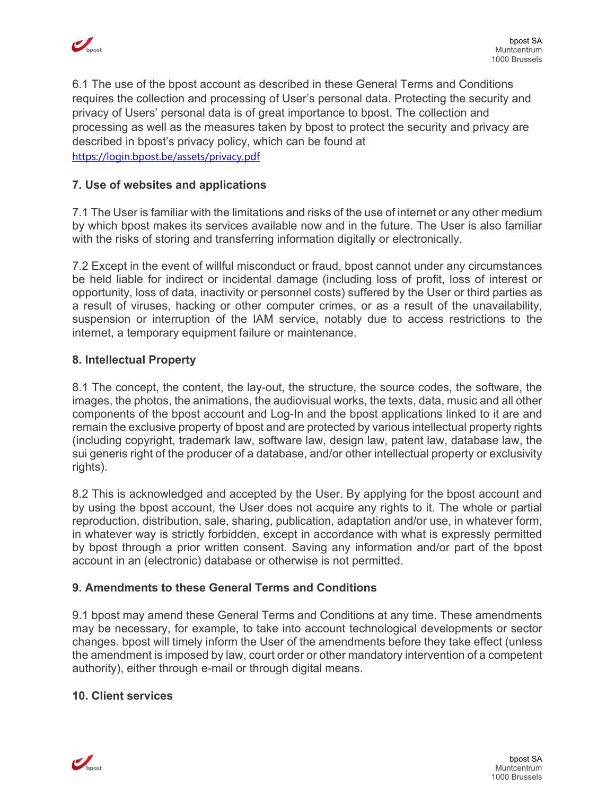

6.1 The use of the bpost account as described in these General Terms and Conditions requires the collection and processing of User's personal data. Protecting the security and privacy of Users' personal data is of great importance to bpost. The collection and processing as well as the measures taken by bpost to protect the security and privacy are described in bpost's privacy policy, which can be found at https://login.bpost.be/assets/privacy.pdf

## **7. Use of websites and applications**

7.1 The User is familiar with the limitations and risks of the use of internet or any other medium by which bpost makes its services available now and in the future. The User is also familiar with the risks of storing and transferring information digitally or electronically.

7.2 Except in the event of willful misconduct or fraud, bpost cannot under any circumstances be held liable for indirect or incidental damage (including loss of profit, loss of interest or opportunity, loss of data, inactivity or personnel costs) suffered by the User or third parties as a result of viruses, hacking or other computer crimes, or as a result of the unavailability, suspension or interruption of the IAM service, notably due to access restrictions to the internet, a temporary equipment failure or maintenance.

#### **8. Intellectual Property**

8.1 The concept, the content, the lay-out, the structure, the source codes, the software, the images, the photos, the animations, the audiovisual works, the texts, data, music and all other components of the bpost account and Log-In and the bpost applications linked to it are and remain the exclusive property of bpost and are protected by various intellectual property rights (including copyright, trademark law, software law, design law, patent law, database law, the sui generis right of the producer of a database, and/or other intellectual property or exclusivity rights).

8.2 This is acknowledged and accepted by the User. By applying for the bpost account and by using the bpost account, the User does not acquire any rights to it. The whole or partial reproduction, distribution, sale, sharing, publication, adaptation and/or use, in whatever form, in whatever way is strictly forbidden, except in accordance with what is expressly permitted by bpost through a prior written consent. Saving any information and/or part of the bpost account in an (electronic) database or otherwise is not permitted.

# **9. Amendments to these General Terms and Conditions**

9.1 bpost may amend these General Terms and Conditions at any time. These amendments may be necessary, for example, to take into account technological developments or sector changes. bpost will timely inform the User of the amendments before they take effect (unless the amendment is imposed by law, court order or other mandatory intervention of a competent authority), either through e-mail or through digital means.

#### **10. Client services**